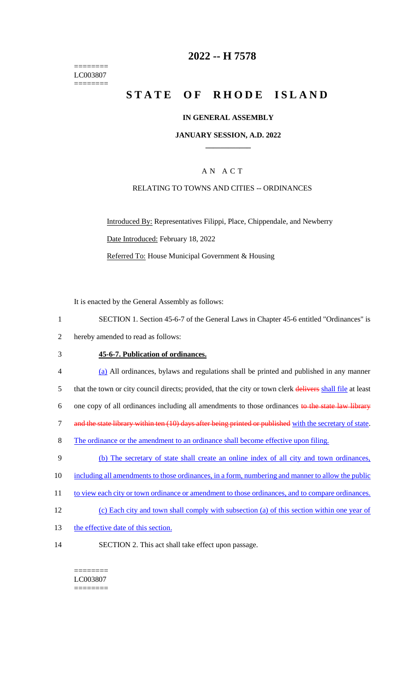======== LC003807 ========

# **2022 -- H 7578**

# **STATE OF RHODE ISLAND**

#### **IN GENERAL ASSEMBLY**

#### **JANUARY SESSION, A.D. 2022 \_\_\_\_\_\_\_\_\_\_\_\_**

## A N A C T

#### RELATING TO TOWNS AND CITIES -- ORDINANCES

Introduced By: Representatives Filippi, Place, Chippendale, and Newberry Date Introduced: February 18, 2022 Referred To: House Municipal Government & Housing

It is enacted by the General Assembly as follows:

- 1 SECTION 1. Section 45-6-7 of the General Laws in Chapter 45-6 entitled "Ordinances" is
- 2 hereby amended to read as follows:

### 3 **45-6-7. Publication of ordinances.**

- 4 (a) All ordinances, bylaws and regulations shall be printed and published in any manner 5 that the town or city council directs; provided, that the city or town clerk delivers shall file at least 6 one copy of all ordinances including all amendments to those ordinances to the state law library 7 and the state library within ten (10) days after being printed or published with the secretary of state. 8 The ordinance or the amendment to an ordinance shall become effective upon filing. 9 (b) The secretary of state shall create an online index of all city and town ordinances, 10 including all amendments to those ordinances, in a form, numbering and manner to allow the public 11 to view each city or town ordinance or amendment to those ordinances, and to compare ordinances.
- 12 (c) Each city and town shall comply with subsection (a) of this section within one year of
- 13 the effective date of this section.
- 14 SECTION 2. This act shall take effect upon passage.

======== LC003807 ========